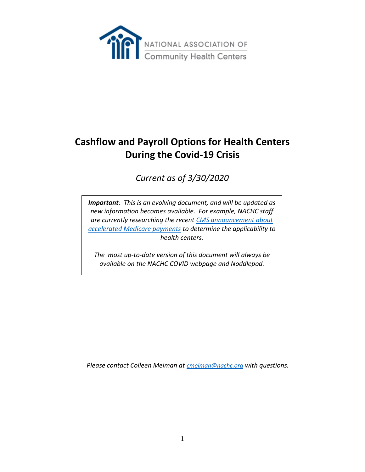

# **Cashflow and Payroll Options for Health Centers During the Covid-19 Crisis**

# *Current as of 3/30/2020*

*Important: This is an evolving document, and will be updated as new information becomes available. For example, NACHC staff are currently researching the recent [CMS announcement about](https://www.cms.gov/files/document/Accelerated-and-Advanced-Payments-Fact-Sheet.pdf)  [accelerated Medicare payments](https://www.cms.gov/files/document/Accelerated-and-Advanced-Payments-Fact-Sheet.pdf) to determine the applicability to health centers.*

*The most up-to-date version of this document will always be available on the NACHC COVID webpage and Noddlepod.* 

*Please contact Colleen Meiman at [cmeiman@nachc.org](mailto:cmeiman@nachc.org) with questions.*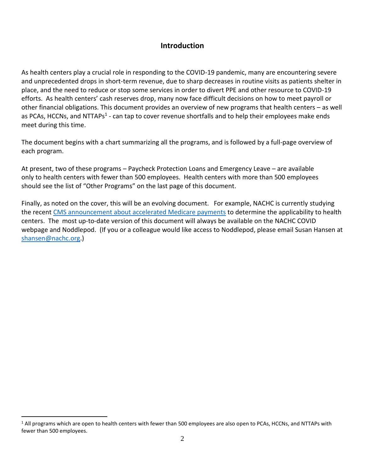# **Introduction**

As health centers play a crucial role in responding to the COVID-19 pandemic, many are encountering severe and unprecedented drops in short-term revenue, due to sharp decreases in routine visits as patients shelter in place, and the need to reduce or stop some services in order to divert PPE and other resource to COVID-19 efforts. As health centers' cash reserves drop, many now face difficult decisions on how to meet payroll or other financial obligations. This document provides an overview of new programs that health centers – as well as PCAs, HCCNs, and NTTAPs<sup>1</sup> - can tap to cover revenue shortfalls and to help their employees make ends meet during this time.

The document begins with a chart summarizing all the programs, and is followed by a full-page overview of each program.

At present, two of these programs – Paycheck Protection Loans and Emergency Leave – are available only to health centers with fewer than 500 employees. Health centers with more than 500 employees should see the list of "Other Programs" on the last page of this document.

Finally, as noted on the cover, this will be an evolving document. For example, NACHC is currently studying the recent [CMS announcement about accelerated Medicare payments](https://www.cms.gov/files/document/Accelerated-and-Advanced-Payments-Fact-Sheet.pdf) to determine the applicability to health centers. The most up-to-date version of this document will always be available on the NACHC COVID webpage and Noddlepod. (If you or a colleague would like access to Noddlepod, please email Susan Hansen at [shansen@nachc.org.](mailto:shansen@nachc.org))

 $\overline{a}$ 

 $1$  All programs which are open to health centers with fewer than 500 employees are also open to PCAs, HCCNs, and NTTAPs with fewer than 500 employees.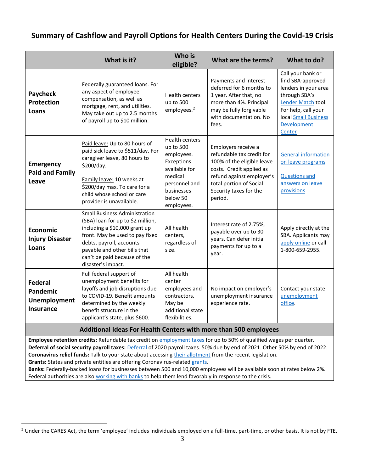# **Summary of Cashflow and Payroll Options for Health Centers During the Covid-19 Crisis**

|                                                                       | What is it?                                                                                                                                                                                                                                                                           | Who is<br>eligible?                                                                                                                                 | What are the terms?                                                                                                                                                                                     | What to do?                                                                                                                                                                   |
|-----------------------------------------------------------------------|---------------------------------------------------------------------------------------------------------------------------------------------------------------------------------------------------------------------------------------------------------------------------------------|-----------------------------------------------------------------------------------------------------------------------------------------------------|---------------------------------------------------------------------------------------------------------------------------------------------------------------------------------------------------------|-------------------------------------------------------------------------------------------------------------------------------------------------------------------------------|
| <b>Paycheck</b><br><b>Protection</b><br>Loans                         | Federally guaranteed loans. For<br>any aspect of employee<br>compensation, as well as<br>mortgage, rent, and utilities.<br>May take out up to 2.5 months<br>of payroll up to \$10 million.                                                                                            | <b>Health centers</b><br>up to 500<br>employees. <sup>2</sup>                                                                                       | Payments and interest<br>deferred for 6 months to<br>1 year. After that, no<br>more than 4%. Principal<br>may be fully forgivable<br>with documentation. No<br>fees.                                    | Call your bank or<br>find SBA-approved<br>lenders in your area<br>through SBA's<br>Lender Match tool.<br>For help, call your<br>local Small Business<br>Development<br>Center |
| <b>Emergency</b><br><b>Paid and Family</b><br>Leave                   | Paid leave: Up to 80 hours of<br>paid sick leave to \$511/day. For<br>caregiver leave, 80 hours to<br>\$200/day.<br>Family leave: 10 weeks at<br>\$200/day max. To care for a<br>child whose school or care<br>provider is unavailable.                                               | <b>Health centers</b><br>up to 500<br>employees.<br>Exceptions<br>available for<br>medical<br>personnel and<br>businesses<br>below 50<br>employees. | Employers receive a<br>refundable tax credit for<br>100% of the eligible leave<br>costs. Credit applied as<br>refund against employer's<br>total portion of Social<br>Security taxes for the<br>period. | <b>General information</b><br>on leave programs<br><b>Questions and</b><br>answers on leave<br>provisions                                                                     |
| <b>Economic</b><br><b>Injury Disaster</b><br>Loans                    | <b>Small Business Administration</b><br>(SBA) loan for up to \$2 million,<br>including a \$10,000 grant up<br>front. May be used to pay fixed<br>debts, payroll, accounts<br>payable and other bills that<br>can't be paid because of the<br>disaster's impact.                       | All health<br>centers,<br>regardless of<br>size.                                                                                                    | Interest rate of 2.75%,<br>payable over up to 30<br>years. Can defer initial<br>payments for up to a<br>year.                                                                                           | Apply directly at the<br>SBA. Applicants may<br>apply online or call<br>1-800-659-2955.                                                                                       |
| <b>Federal</b><br><b>Pandemic</b><br>Unemployment<br><b>Insurance</b> | Full federal support of<br>unemployment benefits for<br>layoffs and job disruptions due<br>to COVID-19. Benefit amounts<br>determined by the weekly<br>benefit structure in the<br>applicant's state, plus \$600.<br>Additional Ideas For Health Centers with more than 500 employees | All health<br>center<br>employees and<br>contractors.<br>May be<br>additional state<br>flexibilities.                                               | No impact on employer's<br>unemployment insurance<br>experience rate.                                                                                                                                   | Contact your state<br>unemployment<br>office.                                                                                                                                 |

**Employee retention credits:** Refundable tax credit o[n employment taxes](https://murphy.house.gov/news/documentsingle.aspx?DocumentID=1273) for up to 50% of qualified wages per quarter. **Deferral of social security payroll taxes:** [Deferral](https://www.adp.com/resources/articles-and-insights/articles/e/eow-coronavirus-aid-relief-and-economic-security-act.aspx) of 2020 payroll taxes. 50% due by end of 2021. Other 50% by end of 2022. **Coronavirus relief funds:** Talk to your state about accessing [their allotment](https://www.ncsl.org/ncsl-in-dc/publications-and-resources/coronavirus-stimulus-bill-states.aspx) from the recent legislation. **Grants:** States and private entities are offering Coronavirus-related [grants.](https://www.grantwatch.com/cat/56/coronavirus-covid-grants.html) 

**Banks:** Federally-backed loans for businesses between 500 and 10,000 employees will be available soon at rates below 2%. Federal authorities are also [working with banks](https://www.fdic.gov/coronavirus/index.html) to help them lend favorably in response to the crisis.

 $\overline{a}$ 

<sup>&</sup>lt;sup>2</sup> Under the CARES Act, the term 'employee' includes individuals employed on a full-time, part-time, or other basis. It is not by FTE.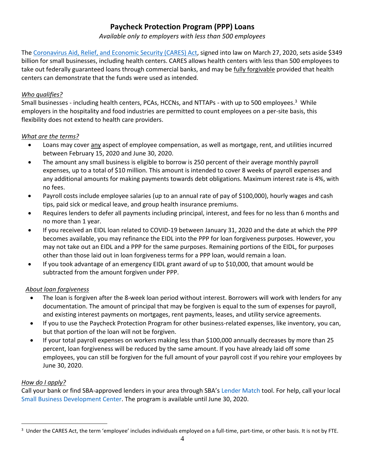# **Paycheck Protection Program (PPP) Loans**

*Available only to employers with less than 500 employees*

The [Coronavirus Aid, Relief, and Economic Security \(CARES\) Act,](https://www.congress.gov/bill/116th-congress/house-bill/748/text) signed into law on March 27, 2020, sets aside \$349 billion for small businesses, including health centers. CARES allows health centers with less than 500 employees to take out federally guaranteed loans through commercial banks, and may be fully forgivable provided that health centers can demonstrate that the funds were used as intended.

#### *Who qualifies?*

Small businesses - including health centers, PCAs, HCCNs, and NTTAPs - with up to 500 employees.<sup>3</sup> While employers in the hospitality and food industries are permitted to count employees on a per-site basis, this flexibility does not extend to health care providers.

#### *What are the terms?*

- Loans may cover any aspect of employee compensation, as well as mortgage, rent, and utilities incurred between February 15, 2020 and June 30, 2020.
- The amount any small business is eligible to borrow is 250 percent of their average monthly payroll expenses, up to a total of \$10 million. This amount is intended to cover 8 weeks of payroll expenses and any additional amounts for making payments towards debt obligations. Maximum interest rate is 4%, with no fees.
- Payroll costs include employee salaries (up to an annual rate of pay of \$100,000), hourly wages and cash tips, paid sick or medical leave, and group health insurance premiums.
- Requires lenders to defer all payments including principal, interest, and fees for no less than 6 months and no more than 1 year.
- If you received an EIDL loan related to COVID-19 between January 31, 2020 and the date at which the PPP becomes available, you may refinance the EIDL into the PPP for loan forgiveness purposes. However, you may not take out an EIDL and a PPP for the same purposes. Remaining portions of the EIDL, for purposes other than those laid out in loan forgiveness terms for a PPP loan, would remain a loan.
- If you took advantage of an emergency EIDL grant award of up to \$10,000, that amount would be subtracted from the amount forgiven under PPP.

## *About loan forgiveness*

- The loan is forgiven after the 8-week loan period without interest. Borrowers will work with lenders for any documentation. The amount of principal that may be forgiven is equal to the sum of expenses for payroll, and existing interest payments on mortgages, rent payments, leases, and utility service agreements.
- If you to use the Paycheck Protection Program for other business-related expenses, like inventory, you can, but that portion of the loan will not be forgiven.
- If your total payroll expenses on workers making less than \$100,000 annually decreases by more than 25 percent, loan forgiveness will be reduced by the same amount. If you have already laid off some employees, you can still be forgiven for the full amount of your payroll cost if you rehire your employees by June 30, 2020.

## *How do I apply?*

 $\overline{a}$ 

Call your bank or find SBA-approved lenders in your area through SBA's [Lender Match](https://www.sba.gov/funding-programs/loans/lender-match) tool. For help, call your local [Small Business Development Center.](https://www.sba.gov/tools/local-assistance/sbdc/) The program is available until June 30, 2020.

<sup>&</sup>lt;sup>3</sup> Under the CARES Act, the term 'employee' includes individuals employed on a full-time, part-time, or other basis. It is not by FTE.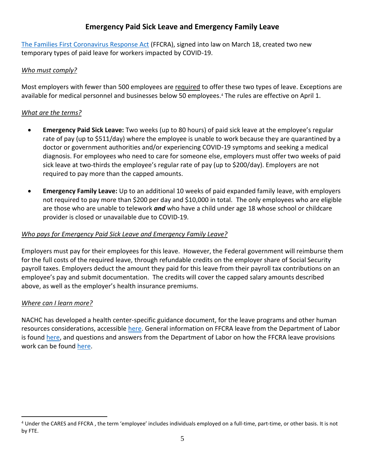# **Emergency Paid Sick Leave and Emergency Family Leave**

[The Families First Coronavirus Response Act](https://www.congress.gov/bill/116th-congress/house-bill/6201) (FFCRA), signed into law on March 18, created two new temporary types of paid leave for workers impacted by COVID-19.

## *Who must comply?*

Most employers with fewer than 500 employees are required to offer these two types of leave. Exceptions are available for medical personnel and businesses below 50 employees.<sup>4</sup> The rules are effective on April 1.

## *What are the terms?*

- **Emergency Paid Sick Leave:** Two weeks (up to 80 hours) of paid sick leave at the employee's regular rate of pay (up to \$511/day) where the employee is unable to work because they are quarantined by a doctor or government authorities and/or experiencing COVID-19 symptoms and seeking a medical diagnosis. For employees who need to care for someone else, employers must offer two weeks of paid sick leave at two-thirds the employee's regular rate of pay (up to \$200/day). Employers are not required to pay more than the capped amounts.
- **Emergency Family Leave:** Up to an additional 10 weeks of paid expanded family leave, with employers not required to pay more than \$200 per day and \$10,000 in total. The only employees who are eligible are those who are unable to telework *and* who have a child under age 18 whose school or childcare provider is closed or unavailable due to COVID-19.

## *Who pays for Emergency Paid Sick Leave and Emergency Family Leave?*

Employers must pay for their employees for this leave. However, the Federal government will reimburse them for the full costs of the required leave, through refundable credits on the employer share of Social Security payroll taxes. Employers deduct the amount they paid for this leave from their payroll tax contributions on an employee's pay and submit documentation. The credits will cover the capped salary amounts described above, as well as the employer's health insurance premiums.

## *Where can I learn more?*

 $\overline{a}$ 

NACHC has developed a health center-specific guidance document, for the leave programs and other human resources considerations, accessible [here.](https://cdn1.digitellinc.com/uploads/nachc/articles/4965843c8da3ec3ab1ab91620cd9bae8.pdf) General information on FFCRA leave from the Department of Labor is found [here,](https://www.dol.gov/agencies/whd/pandemic/ffcra-employer-paid-leave) and questions and answers from the Department of Labor on how the FFCRA leave provisions work can be found [here.](https://www.dol.gov/agencies/whd/pandemic/ffcra-questions)

<sup>4</sup> Under the CARES and FFCRA , the term 'employee' includes individuals employed on a full-time, part-time, or other basis. It is not by FTE.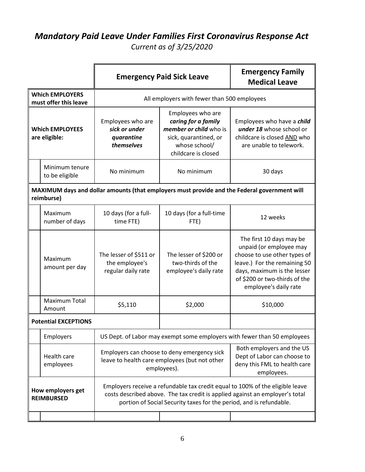# *Mandatory Paid Leave Under Families First Coronavirus Response Act Current as of 3/25/2020*

|                                                                                                            |                                        | <b>Emergency Paid Sick Leave</b>                                                                                                                                                                                                     | <b>Emergency Family</b><br><b>Medical Leave</b>                                                                                     |                                                                                                                                                                                                              |  |  |
|------------------------------------------------------------------------------------------------------------|----------------------------------------|--------------------------------------------------------------------------------------------------------------------------------------------------------------------------------------------------------------------------------------|-------------------------------------------------------------------------------------------------------------------------------------|--------------------------------------------------------------------------------------------------------------------------------------------------------------------------------------------------------------|--|--|
| <b>Which EMPLOYERS</b><br>must offer this leave                                                            |                                        | All employers with fewer than 500 employees                                                                                                                                                                                          |                                                                                                                                     |                                                                                                                                                                                                              |  |  |
| <b>Which EMPLOYEES</b><br>are eligible:                                                                    |                                        | Employees who are<br>sick or under<br>quarantine<br>themselves                                                                                                                                                                       | Employees who are<br>caring for a family<br>member or child who is<br>sick, quarantined, or<br>whose school/<br>childcare is closed | Employees who have a <i>child</i><br>under 18 whose school or<br>childcare is closed AND who<br>are unable to telework.                                                                                      |  |  |
|                                                                                                            | Minimum tenure<br>to be eligible       | No minimum                                                                                                                                                                                                                           | No minimum                                                                                                                          | 30 days                                                                                                                                                                                                      |  |  |
| MAXIMUM days and dollar amounts (that employers must provide and the Federal government will<br>reimburse) |                                        |                                                                                                                                                                                                                                      |                                                                                                                                     |                                                                                                                                                                                                              |  |  |
|                                                                                                            | Maximum<br>number of days              | 10 days (for a full-<br>time FTE)                                                                                                                                                                                                    | 10 days (for a full-time<br>FTE)                                                                                                    | 12 weeks                                                                                                                                                                                                     |  |  |
|                                                                                                            | Maximum<br>amount per day              | The lesser of \$511 or<br>the employee's<br>regular daily rate                                                                                                                                                                       | The lesser of \$200 or<br>two-thirds of the<br>employee's daily rate                                                                | The first 10 days may be<br>unpaid (or employee may<br>choose to use other types of<br>leave.) For the remaining 50<br>days, maximum is the lesser<br>of \$200 or two-thirds of the<br>employee's daily rate |  |  |
|                                                                                                            | Maximum Total<br>Amount                | \$5,110                                                                                                                                                                                                                              | \$2,000                                                                                                                             | \$10,000                                                                                                                                                                                                     |  |  |
| <b>Potential EXCEPTIONS</b>                                                                                |                                        |                                                                                                                                                                                                                                      |                                                                                                                                     |                                                                                                                                                                                                              |  |  |
|                                                                                                            | Employers                              | US Dept. of Labor may exempt some employers with fewer than 50 employees                                                                                                                                                             |                                                                                                                                     |                                                                                                                                                                                                              |  |  |
|                                                                                                            | Health care<br>employees               |                                                                                                                                                                                                                                      | Employers can choose to deny emergency sick<br>leave to health care employees (but not other<br>employees).                         | Both employers and the US<br>Dept of Labor can choose to<br>deny this FML to health care<br>employees.                                                                                                       |  |  |
|                                                                                                            | How employers get<br><b>REIMBURSED</b> | Employers receive a refundable tax credit equal to 100% of the eligible leave<br>costs described above. The tax credit is applied against an employer's total<br>portion of Social Security taxes for the period, and is refundable. |                                                                                                                                     |                                                                                                                                                                                                              |  |  |
|                                                                                                            |                                        |                                                                                                                                                                                                                                      |                                                                                                                                     |                                                                                                                                                                                                              |  |  |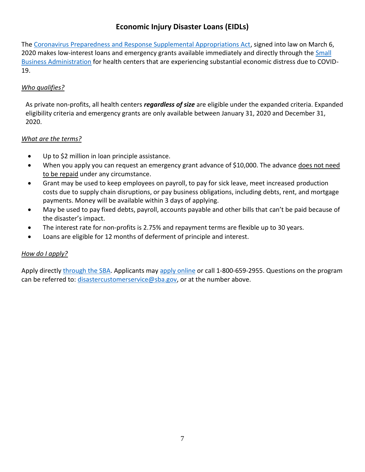# **Economic Injury Disaster Loans (EIDLs)**

The [Coronavirus Preparedness and Response Supplemental Appropriations Act,](https://www.congress.gov/bill/116th-congress/house-bill/6074) signed into law on March 6, 2020 makes low-interest loans and emergency grants available immediately and directly through the **Small** [Business Administration](https://www.sba.gov/disaster-assistance/coronavirus-covid-19) for health centers that are experiencing substantial economic distress due to COVID-19.

# *Who qualifies?*

As private non-profits, all health centers *regardless of size* are eligible under the expanded criteria. Expanded eligibility criteria and emergency grants are only available between January 31, 2020 and December 31, 2020.

## *What are the terms?*

- Up to \$2 million in loan principle assistance.
- When you apply you can request an emergency grant advance of \$10,000. The advance does not need to be repaid under any circumstance.
- Grant may be used to keep employees on payroll, to pay for sick leave, meet increased production costs due to supply chain disruptions, or pay business obligations, including debts, rent, and mortgage payments. Money will be available within 3 days of applying.
- May be used to pay fixed debts, payroll, accounts payable and other bills that can't be paid because of the disaster's impact.
- The interest rate for non-profits is 2.75% and repayment terms are flexible up to 30 years.
- Loans are eligible for 12 months of deferment of principle and interest.

# *How do I apply?*

Apply directl[y through the SBA.](https://www.sba.gov/disaster-assistance/coronavirus-covid-19) Applicants may [apply online](https://disasterloan.sba.gov/ela/) or call 1-800-659-2955. Questions on the program can be referred to: [disastercustomerservice@sba.gov,](mailto:disastercustomerservice@sba.gov) or at the number above.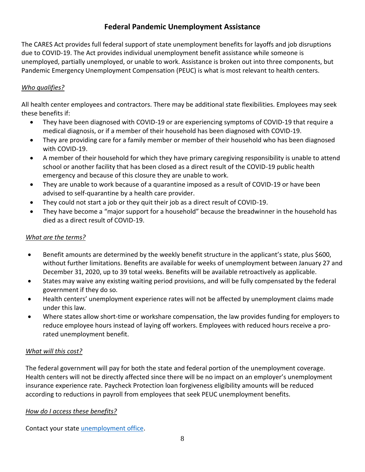# **Federal Pandemic Unemployment Assistance**

The CARES Act provides full federal support of state unemployment benefits for layoffs and job disruptions due to COVID-19. The Act provides individual unemployment benefit assistance while someone is unemployed, partially unemployed, or unable to work. Assistance is broken out into three components, but Pandemic Emergency Unemployment Compensation (PEUC) is what is most relevant to health centers.

# *Who qualifies?*

All health center employees and contractors. There may be additional state flexibilities. Employees may seek these benefits if:

- They have been diagnosed with COVID-19 or are experiencing symptoms of COVID-19 that require a medical diagnosis, or if a member of their household has been diagnosed with COVID-19.
- They are providing care for a family member or member of their household who has been diagnosed with COVID-19.
- A member of their household for which they have primary caregiving responsibility is unable to attend school or another facility that has been closed as a direct result of the COVID-19 public health emergency and because of this closure they are unable to work.
- They are unable to work because of a quarantine imposed as a result of COVID-19 or have been advised to self-quarantine by a health care provider.
- They could not start a job or they quit their job as a direct result of COVID-19.
- They have become a "major support for a household" because the breadwinner in the household has died as a direct result of COVID-19.

## *What are the terms?*

- **Benefit amounts are determined by the weekly benefit structure in the applicant's state, plus \$600,** without further limitations. Benefits are available for weeks of unemployment between January 27 and December 31, 2020, up to 39 total weeks. Benefits will be available retroactively as applicable.
- States may waive any existing waiting period provisions, and will be fully compensated by the federal government if they do so.
- Health centers' unemployment experience rates will not be affected by unemployment claims made under this law.
- Where states allow short-time or workshare compensation, the law provides funding for employers to reduce employee hours instead of laying off workers. Employees with reduced hours receive a prorated unemployment benefit.

## *What will this cost?*

The federal government will pay for both the state and federal portion of the unemployment coverage. Health centers will not be directly affected since there will be no impact on an employer's unemployment insurance experience rate. Paycheck Protection loan forgiveness eligibility amounts will be reduced according to reductions in payroll from employees that seek PEUC unemployment benefits.

# *How do I access these benefits?*

Contact your state [unemployment office.](https://www.careeronestop.org/LocalHelp/UnemploymentBenefits/find-unemployment-benefits.aspx)